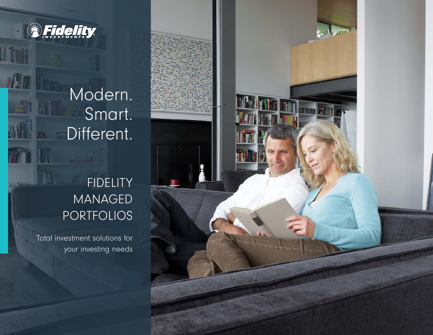

11

Modern. Smart. Different.

# FIDELITY MANAGED PORTFOLIOS

Total investment solutions for your investing needs

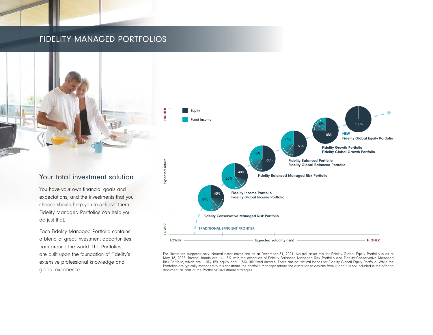## FIDELITY MANAGED PORTFOLIOS



### Your total investment solution

You have your own financial goals and expectations, and the investments that you choose should help you to achieve them. Fidelity Managed Portfolios can help you do just that.

Each Fidelity Managed Portfolio contains a blend of great investment opportunities from around the world. The Portfolios are built upon the foundation of Fidelity's extensive professional knowledge and global experience.



For illustration purposes only. Neutral asset mixes are as at December 31, 2021. Neutral asset mix for Fidelity Global Equity Portfolio is as at May 18, 2022. Tactical bands are +/- 15%, with the exception of Fidelity Balanced Managed Risk Portfolio and Fidelity Conservative Managed Risk Portfolio, which are +10%/-15% equity and +15%/-10% fixed income. There are no tactical bands for Fidelity Global Equity Portfolio. While the Portfolios are typically managed to this constraint, the portfolio manager retains the discretion to deviate from it, and it is not included in the offering document as part of the Portfolios' investment strategies.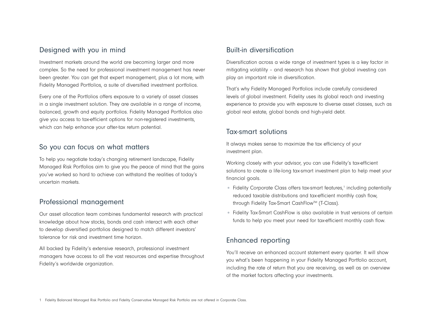### Designed with you in mind

Investment markets around the world are becoming larger and more complex. So the need for professional investment management has never been greater. You can get that expert management, plus a lot more, with Fidelity Managed Portfolios, a suite of diversified investment portfolios.

Every one of the Portfolios offers exposure to a variety of asset classes in a single investment solution. They are available in a range of income, balanced, growth and equity portfolios. Fidelity Managed Portfolios also give you access to tax-efficient options for non-registered investments, which can help enhance your after-tax return potential.

#### So you can focus on what matters

To help you negotiate today's changing retirement landscape, Fidelity Managed Risk Portfolios aim to give you the peace of mind that the gains you've worked so hard to achieve can withstand the realities of today's uncertain markets.

#### Professional management

Our asset allocation team combines fundamental research with practical knowledge about how stocks, bonds and cash interact with each other to develop diversified portfolios designed to match different investors' tolerance for risk and investment time horizon.

All backed by Fidelity's extensive research, professional investment managers have access to all the vast resources and expertise throughout Fidelity's worldwide organization.

### Built-in diversification

Diversification across a wide range of investment types is a key factor in mitigating volatility – and research has shown that global investing can play an important role in diversification.

That's why Fidelity Managed Portfolios include carefully considered levels of global investment. Fidelity uses its global reach and investing experience to provide you with exposure to diverse asset classes, such as global real estate, global bonds and high-yield debt.

#### Tax-smart solutions

It always makes sense to maximize the tax efficiency of your investment plan.

Working closely with your advisor, you can use Fidelity's tax-efficient solutions to create a life-long tax-smart investment plan to help meet your financial goals.

- Fidelity Corporate Class offers tax-smart features,<sup>1</sup> including potentially reduced taxable distributions and tax-efficient monthly cash flow, through Fidelity Tax-Smart CashFlow™ (T-Class).
- Fidelity Tax-Smart CashFlow is also available in trust versions of certain funds to help you meet your need for tax-efficient monthly cash flow.

## Enhanced reporting

You'll receive an enhanced account statement every quarter. It will show you what's been happening in your Fidelity Managed Portfolio account, including the rate of return that you are receiving, as well as an overview of the market factors affecting your investments.

1 Fidelity Balanced Managed Risk Portfolio and Fidelity Conservative Managed Risk Portfolio are not offered in Corporate Class.